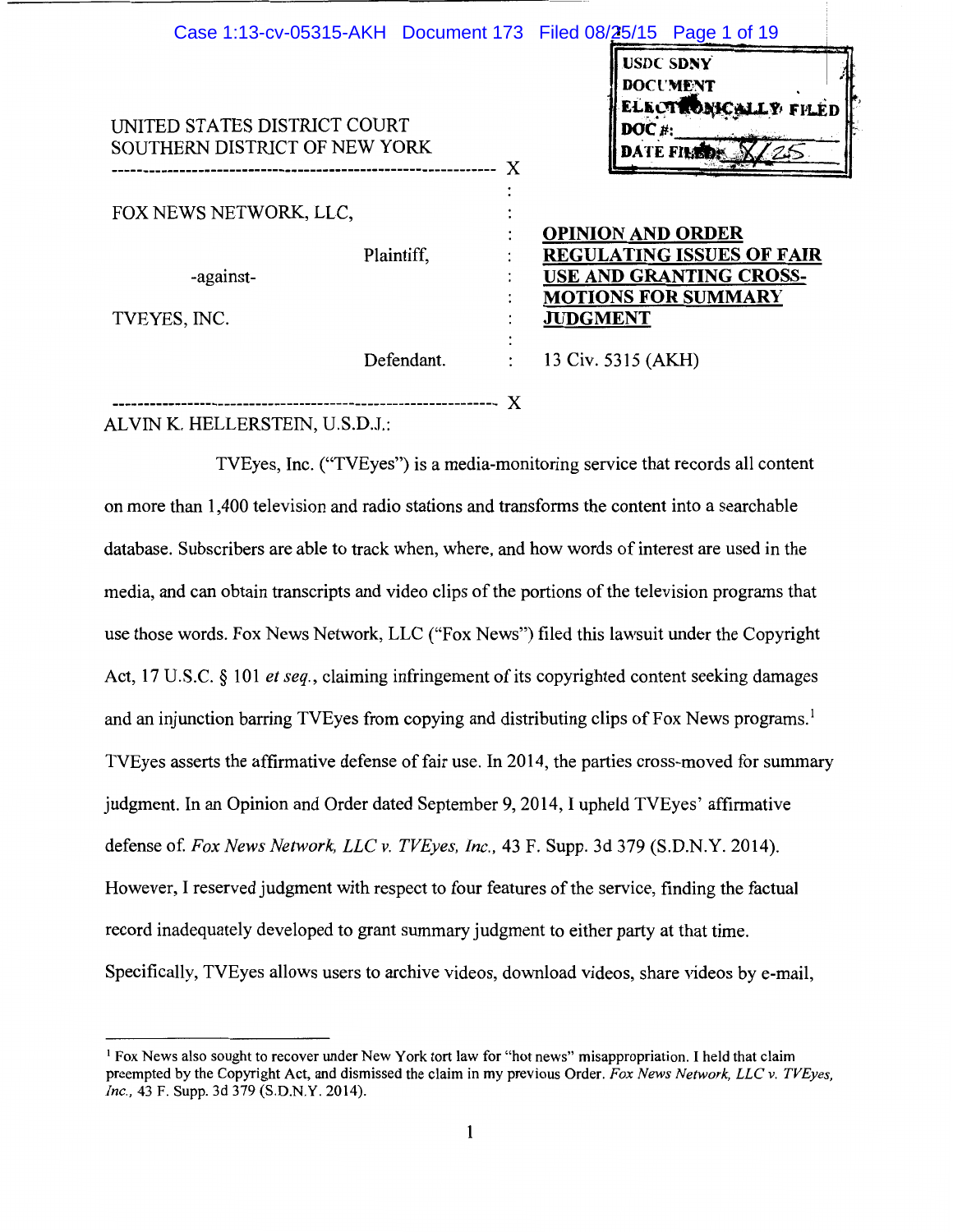| Case 1:13-cv-05315-AKH  Document 173  Filed 08/25/15  Page 1 of 19 |            |   |                    |          |                                                                                   |  |
|--------------------------------------------------------------------|------------|---|--------------------|----------|-----------------------------------------------------------------------------------|--|
| UNITED STATES DISTRICT COURT<br>SOUTHERN DISTRICT OF NEW YORK      |            |   |                    | $DOC#$ : | <b>USDC SDNY</b><br><b>DOCUMENT</b><br>ELECTRONICALLY FILED<br><b>DATE FILED:</b> |  |
|                                                                    |            | X |                    |          |                                                                                   |  |
| FOX NEWS NETWORK, LLC,                                             |            |   |                    |          | <b>OPINION AND ORDER</b>                                                          |  |
| -against-                                                          | Plaintiff, |   |                    |          | <b>REGULATING ISSUES OF FAIR</b><br><b>USE AND GRANTING CROSS-</b>                |  |
| TVEYES, INC.                                                       |            |   | <b>JUDGMENT</b>    |          | <b>MOTIONS FOR SUMMARY</b>                                                        |  |
|                                                                    | Defendant. |   | 13 Civ. 5315 (AKH) |          |                                                                                   |  |

-------------------------------------------------------------- *)(* 

ALVIN K. HELLERSTEIN, U.S.D.J.:

TVEyes, Inc. ("TVEyes") is a media-monitoring service that records all content on more than 1,400 television and radio stations and transforms the content into a searchable database. Subscribers are able to track when, where, and how words of interest are used in the media, and can obtain transcripts and video clips of the portions of the television programs that use those words. Fox News Network, LLC ("Fox News") filed this lawsuit under the Copyright Act, 17 U.S.C. § 101 *et seq.,* claiming infringement of its copyrighted content seeking damages and an injunction barring TVEyes from copying and distributing clips of Fox News programs.<sup>1</sup> TVEyes asserts the affirmative defense of fair use. In 2014, the parties cross-moved for summary judgment. In an Opinion and Order dated September 9, 2014, I upheld TVEyes' affirmative defense of. *Fox News Network, LLC v. TVEyes, Inc.,* 43 F. Supp. 3d 379 (S.D.N.Y. 2014). However, I reserved judgment with respect to four features of the service, finding the factual record inadequately developed to grant summary judgment to either party at that time. Specifically, TVEyes allows users to archive videos, download videos, share videos by e-mail,

<sup>1</sup> Fox News also sought to recover under New York tort law for "hot news" misappropriation. I held that claim preempted by the Copyright Act, and dismissed the claim in my previous Order. *Fox News Network, LLC v. TVEyes, Inc.,* 43 F. Supp. 3d 379 (S.D.N.Y. 2014).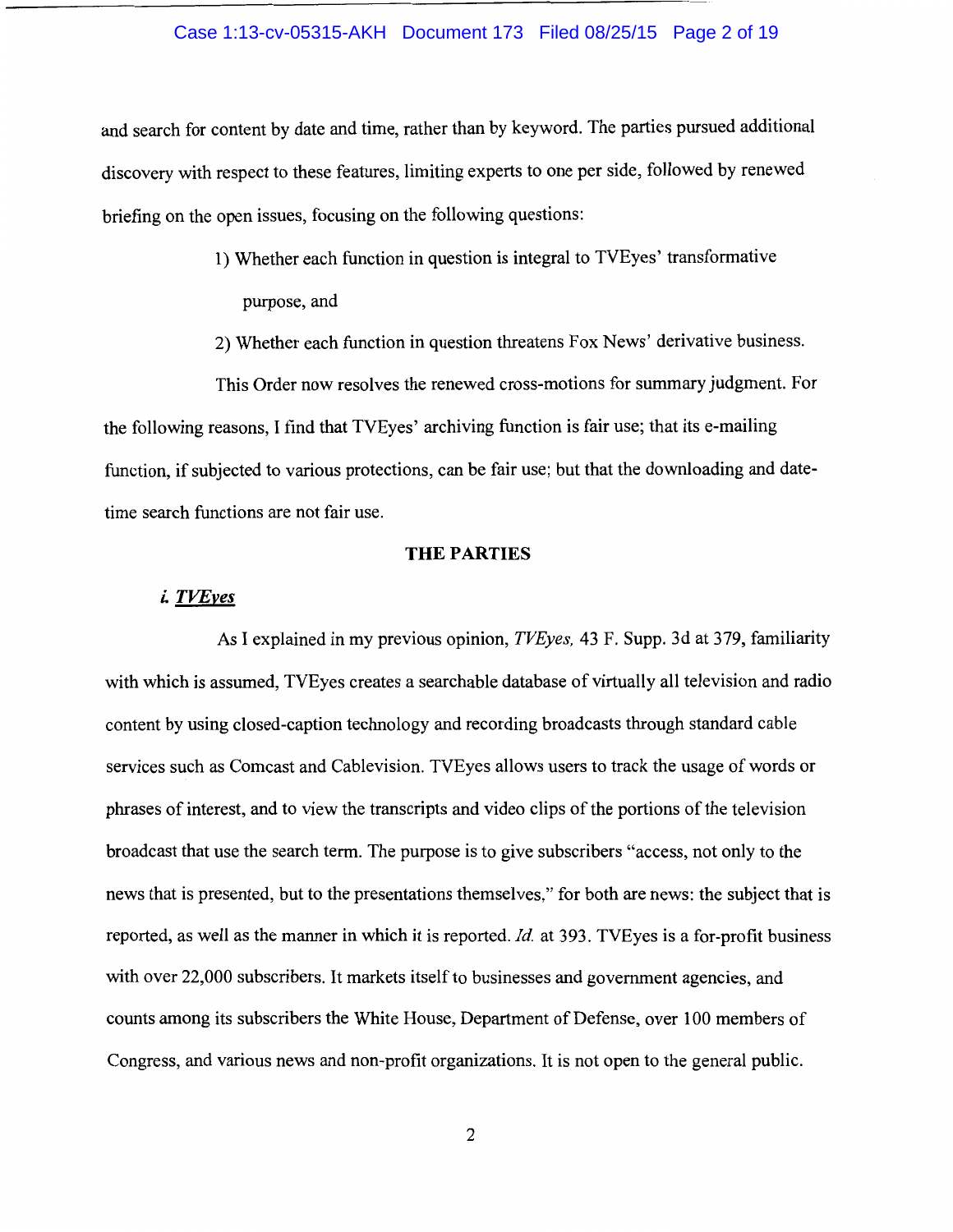## Case 1:13-cv-05315-AKH Document 173 Filed 08/25/15 Page 2 of 19

and search for content by date and time, rather than by keyword. The parties pursued additional discovery with respect to these features, limiting experts to one per side, followed by renewed briefing on the open issues, focusing on the following questions:

- 1) Whether each function in question is integral to TVEyes' trans formative purpose, and
- 2) Whether each function in question threatens Fox News' derivative business.

This Order now resolves the renewed cross-motions for summary judgment. For the following reasons, I find that TVEyes' archiving function is fair use; that its e-mailing function, if subjected to various protections, can be fair use; but that the downloading and datetime search functions are not fair use.

## **THE PARTIES**

# *i. TVEyes*

As I explained in my previous opinion, *TVEyes,* 43 F. Supp. 3d at 379, familiarity with which is assumed, TVEyes creates a searchable database of virtually all television and radio content by using closed-caption technology and recording broadcasts through standard cable services such as Comcast and Cablevision. TVEyes allows users to track the usage of words or phrases of interest, and to view the transcripts and video clips of the portions of the television broadcast that use the search term. The purpose is to give subscribers "access, not only to the news that is presented, but to the presentations themselves," for both are news: the subject that is reported, as well as the manner in which it is reported. *Id.* at 393. TVEyes is a for-profit business with over 22,000 subscribers. It markets itself to businesses and government agencies, and counts among its subscribers the White House, Department of Defense, over 100 members of Congress, and various news and non-profit organizations. It is not open to the general public.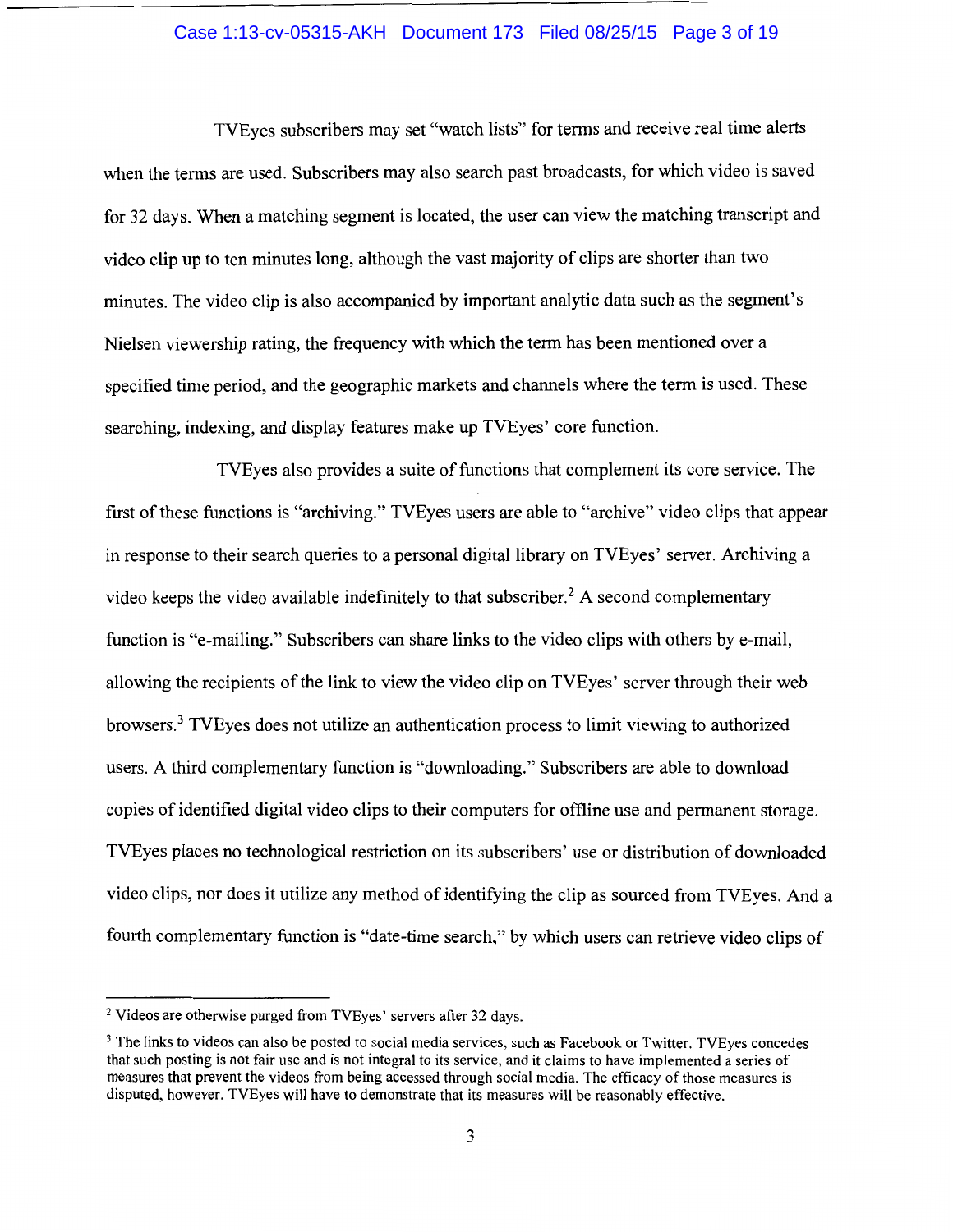## Case 1:13-cv-05315-AKH Document 173 Filed 08/25/15 Page 3 of 19

TVEyes subscribers may set "watch lists" for terms and receive real time alerts when the terms are used. Subscribers may also search past broadcasts, for which video is saved for 32 days. When a matching segment is located, the user can view the matching transcript and video clip up to ten minutes long, although the vast majority of clips are shorter than two minutes. The video clip is also accompanied by important analytic data such as the segment's Nielsen viewership rating, the frequency with which the term has been mentioned over a specified time period, and the geographic markets and channels where the term is used. These searching, indexing, and display features make up TVEyes' core function.

TVEyes also provides a suite of functions that complement its core service. The first of these functions is "archiving." TVEyes users are able to "archive" video clips that appear in response to their search queries to a personal digital library on TVEyes' server. Archiving a video keeps the video available indefinitely to that subscriber.<sup>2</sup> A second complementary function is "e-mailing." Subscribers can share links to the video clips with others by e-mail, allowing the recipients of the link to view the video clip on TVEyes' server through their web browsers.3 TVEyes does not utilize an authentication process to limit viewing to authorized users. A third complementary function is "downloading." Subscribers are able to download copies of identified digital video clips to their computers for offline use and permanent storage. TVEyes places no technological restriction on its subscribers' use or distribution of downloaded video clips, nor does it utilize any method of identifying the clip as sourced from TVEyes. And a fourth complementary function is "date-time search," by which users can retrieve video clips of

<sup>2</sup> Videos are otherwise purged from TVEyes' servers after 32 days.

<sup>&</sup>lt;sup>3</sup> The links to videos can also be posted to social media services, such as Facebook or Twitter. TVEyes concedes that such posting is not fair use and is not integral to its service, and it claims to have implemented a series of measures that prevent the videos from being accessed through social media. The efficacy of those measures is disputed, however. TVEyes will have to demonstrate that its measures will be reasonably effective.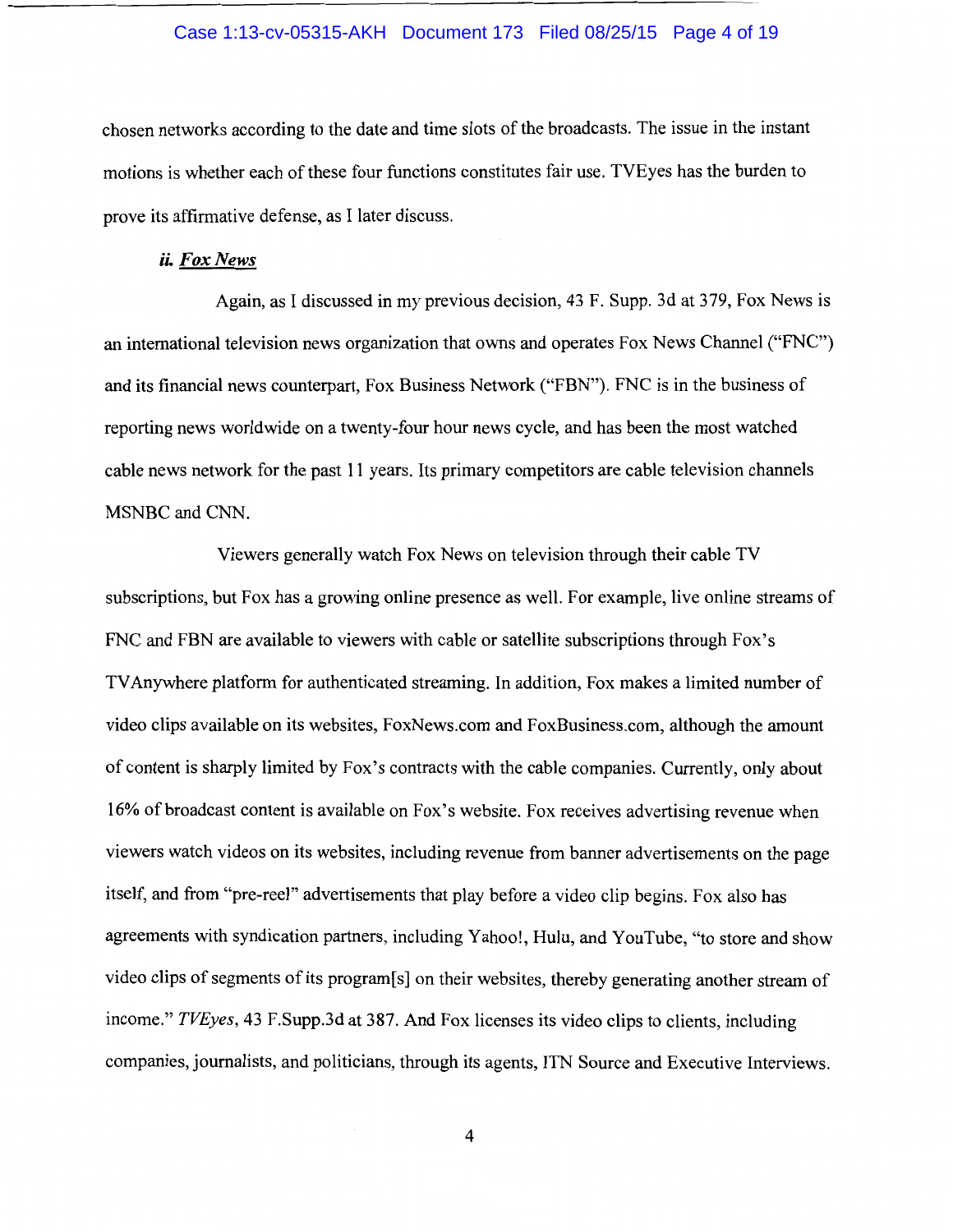## Case 1:13-cv-05315-AKH Document 173 Filed 08/25/15 Page 4 of 19

chosen networks according to the date and time slots of the broadcasts. The issue in the instant motions is whether each of these four functions constitutes fair use. TVEyes has the burden to prove its affirmative defense, as I later discuss.

## ii. *Fox News*

Again, as I discussed in my previous decision, 43 F. Supp. 3d at 379, Fox News is an international television news organization that owns and operates Fox News Channel ("FNC") and its financial news counterpart, Fox Business Network ("FBN"). FNC is in the business of reporting news worldwide on a twenty-four hour news cycle, and has been the most watched cable news network for the past 11 years. Its primary competitors are cable television channels MSNBC and CNN.

Viewers generally watch Fox News on television through their cable TV subscriptions, but Fox has a growing online presence as well. For example, live online streams of FNC and FBN are available to viewers with cable or satellite subscriptions through Fox's TV Anywhere platform for authenticated streaming. In addition, Fox makes a limited number of video clips available on its websites, FoxNews.com and FoxBusiness.com, although the amount of content is sharply limited by Fox's contracts with the cable companies. Currently, only about 16% of broadcast content is available on Fox's website. Fox receives advertising revenue when viewers watch videos on its websites, including revenue from banner advertisements on the page itself, and from "pre-reel" advertisements that play before a video clip begins. Fox also has agreements with syndication partners, including Yahoo!, Hulu, and YouTube, "to store and show video clips of segments of its program[s] on their websites, thereby generating another stream of income." *TVEyes,* 43 F.Supp.3d at 387. And Fox licenses its video clips to clients, including companies, journalists, and politicians, through its agents, ITN Source and Executive Interviews.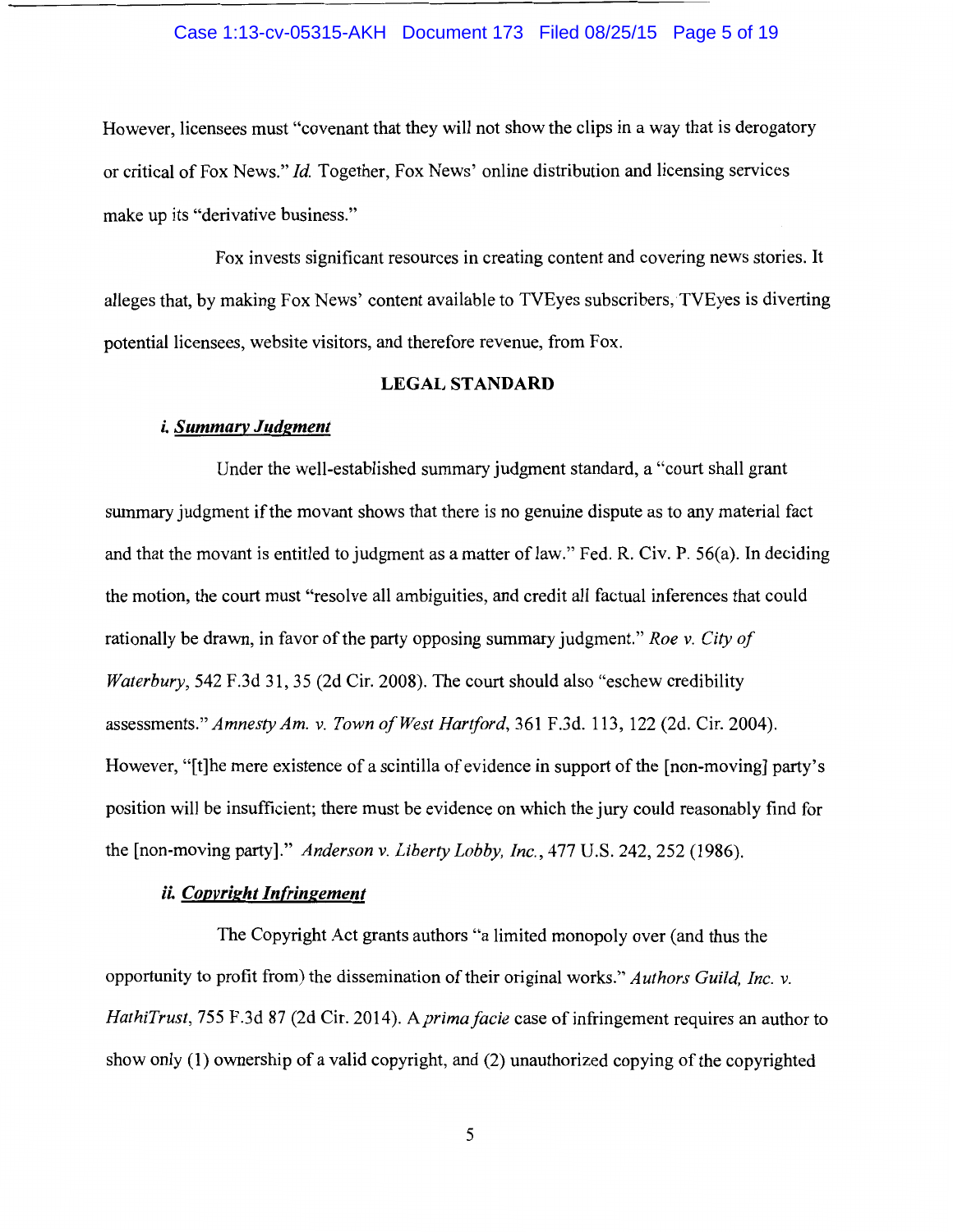## Case 1:13-cv-05315-AKH Document 173 Filed 08/25/15 Page 5 of 19

However, licensees must "covenant that they will not show the clips in a way that is derogatory or critical of Fox News." *Id.* Together, Fox News' online distribution and licensing services make up its "derivative business."

Fox invests significant resources in creating content and covering news stories. It alleges that, by making Fox News' content available to TVEyes subscribers, TVEyes is diverting potential licensees, website visitors, and therefore revenue, from Fox.

#### **LEGAL STANDARD**

## *i. Summary Judgment*

Under the well-established summary judgment standard, a "court shall grant summary judgment if the movant shows that there is no genuine dispute as to any material fact and that the movant is entitled to judgment as a matter of law." Fed. R. Civ. P. 56(a). In deciding the motion, the court must "resolve all ambiguities, and credit all factual inferences that could rationally be drawn, in favor of the party opposing summary judgment." *Roe v. City of Waterbury,* 542 F.3d 31, 35 (2d Cir. 2008). The court should also "eschew credibility assessments." *Amnesty Am. v. Town of West Hartford,* 361 F.3d. 113, 122 (2d. Cir. 2004). However, "[t]he mere existence of a scintilla of evidence in support of the [non-moving] party's position will be insufficient; there must be evidence on which the jury could reasonably find for the [non-moving party]." *Anderson v. Liberty Lobby, Inc.,* 477 U.S. 242, 252 (1986).

# *ii. Copyright Infringement*

The Copyright Act grants authors "a limited monopoly over (and thus the opportunity to profit from) the dissemination of their original works." *Authors Guild, Inc. v.*  HathiTrust, 755 F.3d 87 (2d Cir. 2014). A prima facie case of infringement requires an author to show only ( 1) ownership of a valid copyright, and (2) unauthorized copying of the copyrighted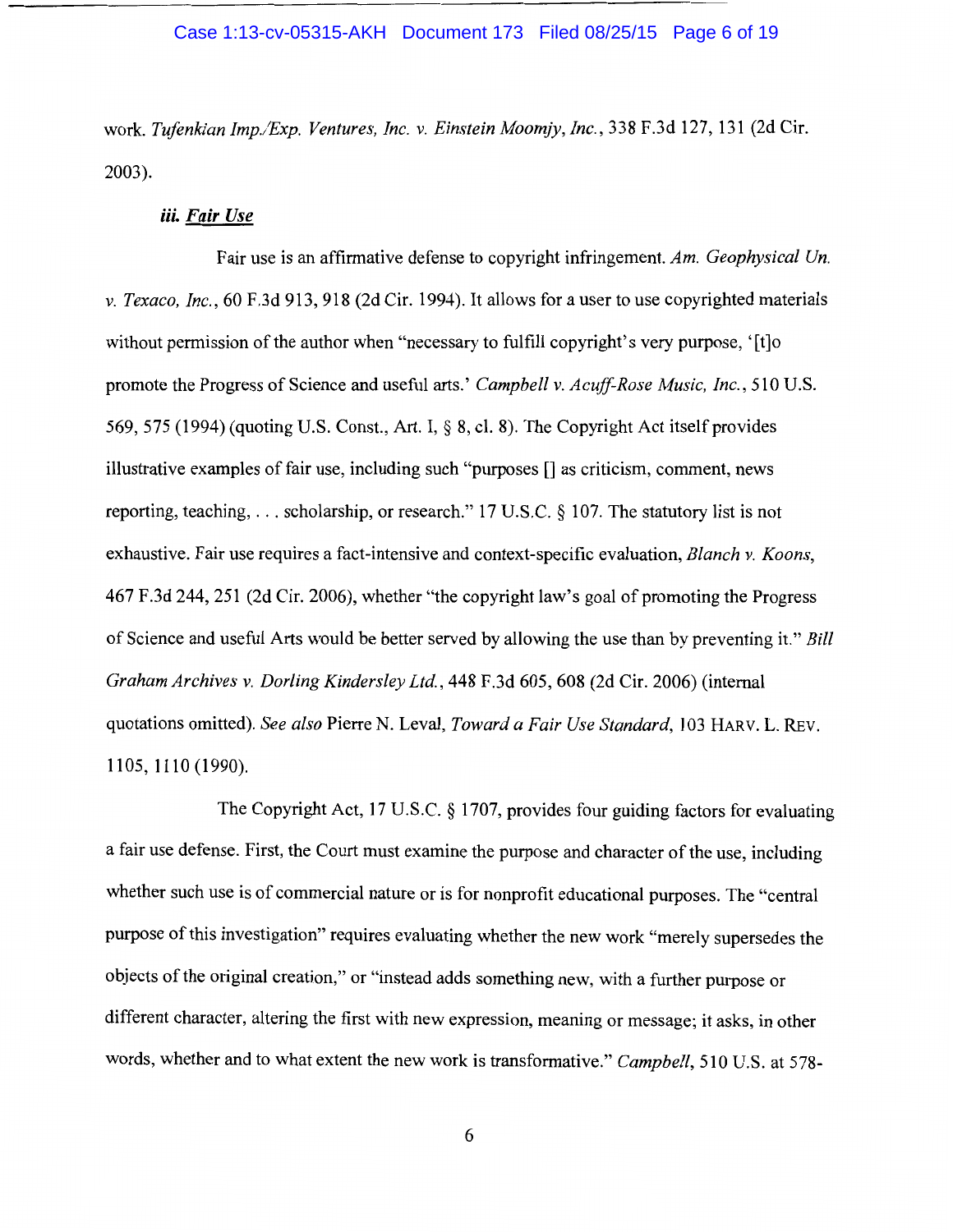## Case 1:13-cv-05315-AKH Document 173 Filed 08/25/15 Page 6 of 19

work. *Tufenkian Imp./Exp. Ventures, Inc. v. Einstein Moomjy, Inc.,* 338 F.3d 127, 131 (2d Cir. 2003).

# *iii. Fair Use*

Fair use is an affirmative defense to copyright infringement. *Am. Geophysical Un. v. Texaco, Inc.,* 60 F.3d 913, 918 (2d Cir. 1994). It allows for a user to use copyrighted materials without permission of the author when "necessary to fulfill copyright's very purpose, '[t]o promote the Progress of Science and useful arts.' *Campbell v. Acuff-Rose Music, Inc.,* 510 U.S. 569, 575 (1994) (quoting U.S. Const., Art. I,§ 8, cl. 8). The Copyright Act itself provides illustrative examples of fair use, including such "purposes [] as criticism, comment, news reporting, teaching, ... scholarship, or research." 17 U.S.C. § 107. The statutory list is not exhaustive. Fair use requires a fact-intensive and context-specific evaluation, *Blanch v. Koons,*  467 F.3d 244, 251 (2d Cir. 2006), whether "the copyright law's goal of promoting the Progress of Science and useful Arts would be better served by allowing the use than by preventing it." *Bill Graham Archives v. Darling Kindersley Ltd.,* 448 F.3d 605, 608 (2d Cir. 2006) (internal quotations omitted). *See also* Pierre N. Leval, *Toward a Fair Use Standard,* 103 HARV. L. REv. 1105, 1110 (1990).

The Copyright Act, 17 U.S.C. § 1707, provides four guiding factors for evaluating a fair use defense. First, the Court must examine the purpose and character of the use, including whether such use is of commercial nature or is for nonprofit educational purposes. The "central purpose of this investigation" requires evaluating whether the new work "merely supersedes the objects of the original creation," or "instead adds something new, with a further purpose or different character, altering the first with new expression, meaning or message; it asks, in other words, whether and to what extent the new work is transformative." *Campbell,* 510 U.S. at 578-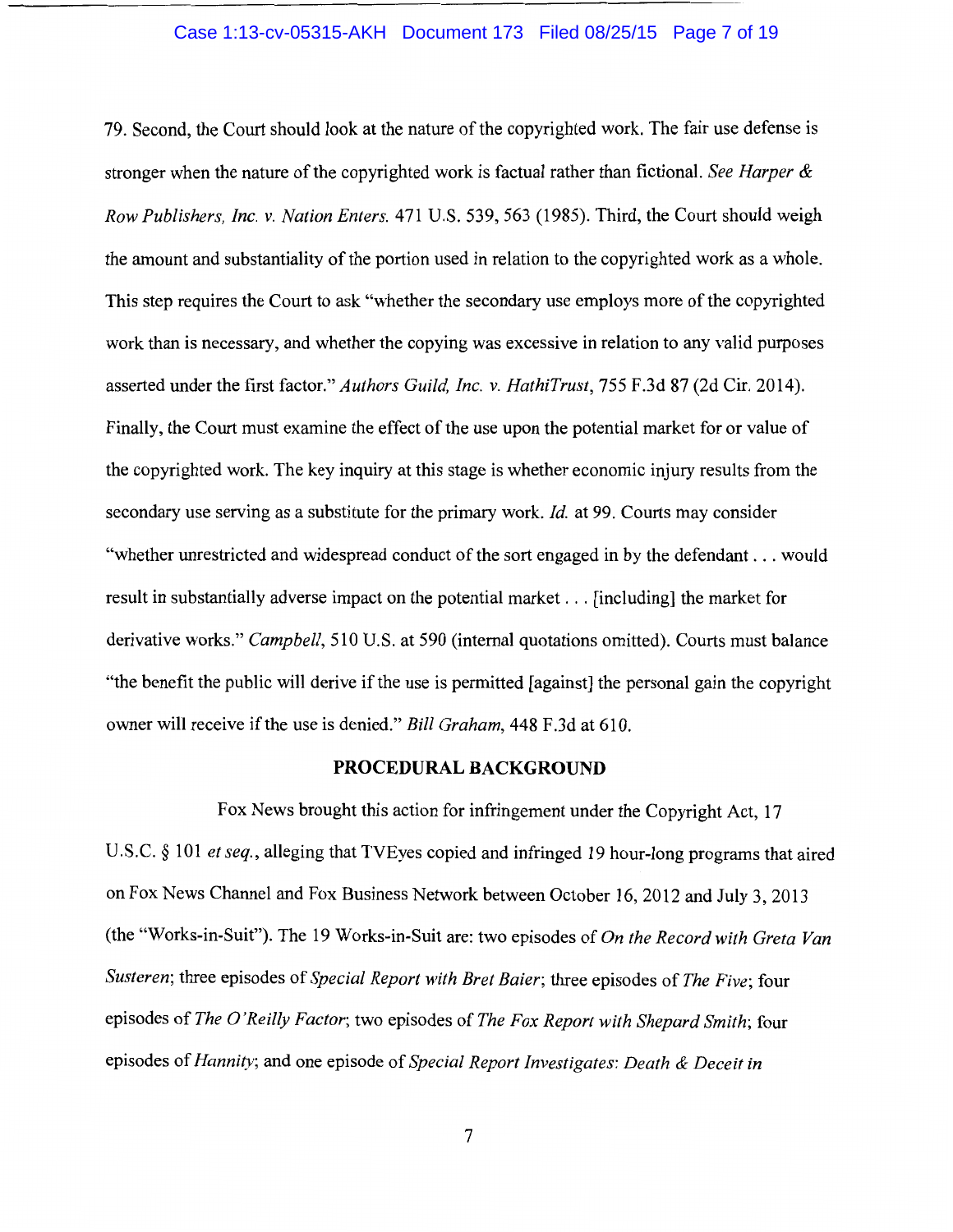## Case 1:13-cv-05315-AKH Document 173 Filed 08/25/15 Page 7 of 19

79. Second, the Court should look at the nature of the copyrighted work. The fair use defense is stronger when the nature of the copyrighted work is factual rather than fictional. *See Harper* & *Row Publishers, Inc. v. Nation Enters.* 471 U.S. 539, 563 (1985). Third, the Court should weigh the amount and substantiality of the portion used in relation to the copyrighted work as a whole. This step requires the Court to ask "whether the secondary use employs more of the copyrighted work than is necessary, and whether the copying was excessive in relation to any valid purposes asserted under the first factor." *Authors Guild, Inc. v. HathiTrust,* 755 F.3d 87 (2d Cir. 2014). Finally, the Court must examine the effect of the use upon the potential market for or value of the copyrighted work. The key inquiry at this stage is whether economic injury results from the secondary use serving as a substitute for the primary work. *Id.* at 99. Courts may consider "whether unrestricted and widespread conduct of the sort engaged in by the defendant ... would result in substantially adverse impact on the potential market ... [including] the market for derivative works." *Campbell,* 510 U.S. at 590 (internal quotations omitted). Courts must balance "the benefit the public will derive if the use is permitted [against] the personal gain the copyright owner will receive if the use is denied." *Bill Graham,* 448 F.3d at 610.

# **PROCEDURAL BACKGROUND**

Fox News brought this action for infringement under the Copyright Act, 17 U.S.C. § 101 *et seq.,* alleging that TVEyes copied and infringed 19 hour-long programs that aired on Fox News Channel and Fox Business Network between October 16, 2012 and July 3, 2013 (the "Works-in-Suit"). The 19 Works-in-Suit are: two episodes of *On the Record with Greta Van Susteren;* three episodes of *Special Report with Bret Baier;* three episodes of *The Five;* four episodes of *The 0 'Reilly Factor;* two episodes of *The Fox Report with Shepard Smith;* four episodes of *Hannity;* and one episode of *Special Report Investigates: Death* & *Deceit in*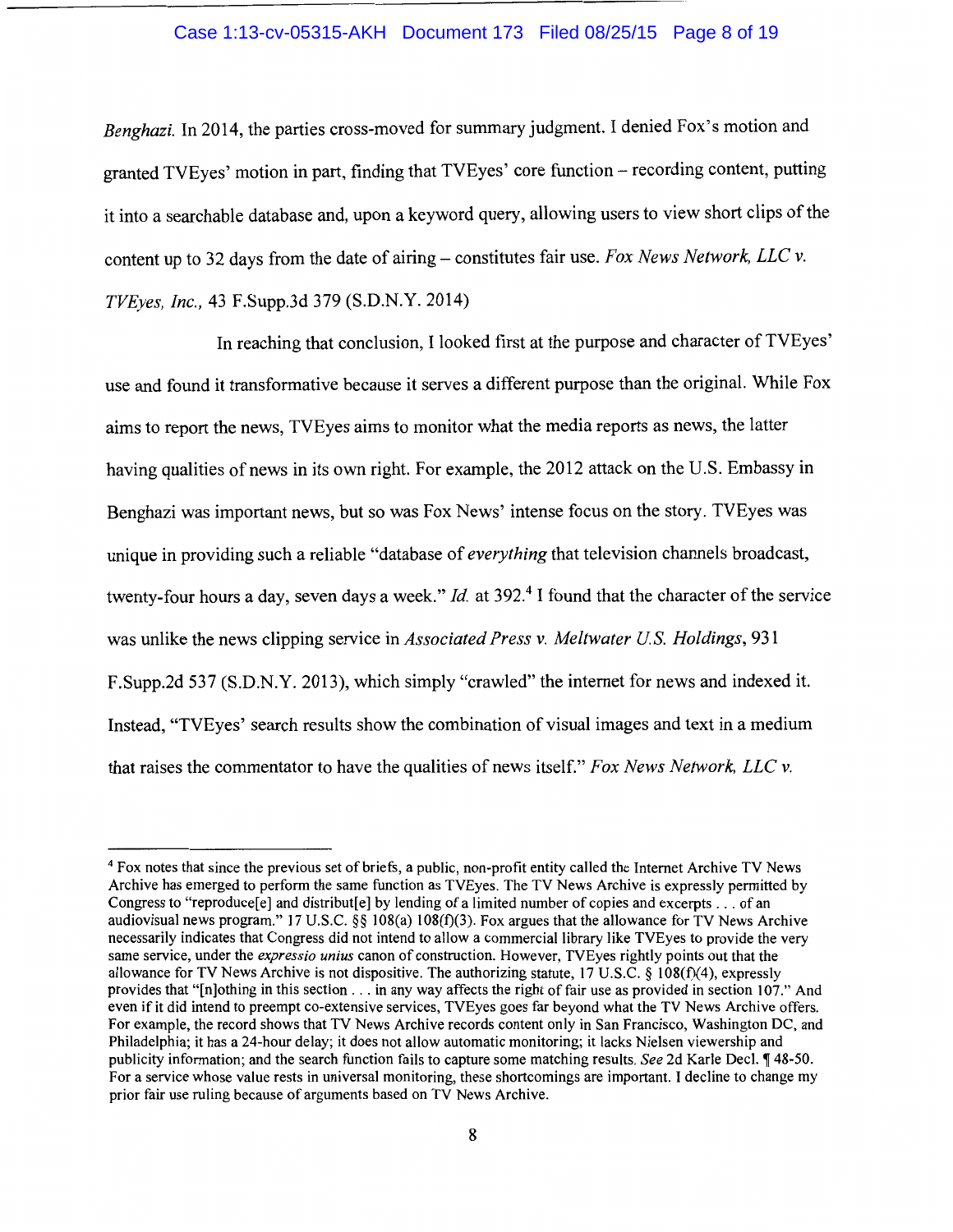# Case 1:13-cv-05315-AKH Document 173 Filed 08/25/15 Page 8 of 19

*Benghazi.* In 2014, the parties cross-moved for summary judgment. I denied Fox's motion and granted TVEyes' motion in part, finding that TVEyes' core function- recording content, putting it into a searchable database and, upon a keyword query, allowing users to view short clips of the content up to 32 days from the date of airing- constitutes fair use. *Fox News Network, LLC v. TVEyes, Inc.,* 43 F.Supp.3d 379 (S.D.N.Y. 2014)

In reaching that conclusion, I looked first at the purpose and character of TVEyes' use and found it transformative because it serves a different purpose than the original. While Fox aims to report the news, TVEyes aims to monitor what the media reports as news, the latter having qualities of news in its own right. For example, the 2012 attack on the U.S. Embassy in Benghazi was important news, but so was Fox News' intense focus on the story. TVEyes was unique in providing such a reliable "database of *everything* that television channels broadcast, twenty-four hours a day, seven days a week." *Id.* at 392.4 I found that the character of the service was unlike the news clipping service in *Associated Press v. Meltwater US. Holdings,* 931 F.Supp.2d 537 (S.D.N.Y. 2013), which simply "crawled" the internet for news and indexed it. Instead, "TVEyes' search results show the combination of visual images and text in a medium that raises the commentator to have the qualities of news itself." *Fox News Network, LLC v.* 

<sup>4</sup>Fox notes that since the previous set of briefs, a public, non-profit entity called the Internet Archive TV News Archive has emerged to perform the same function as TVEyes. The TV News Archive is expressly permitted by Congress to "reproduce[ $e$ ] and distribut[ $e$ ] by lending of a limited number of copies and excerpts ... of an audiovisual news program." 17 U.S.C. §§ 108(a) 108(t)(3). Fox argues that the allowance for TV News Archive necessarily indicates that Congress did not intend to allow a commercial library like TVEyes to provide the very same service, under the *expressio unius* canon of construction. However, TVEyes rightly points out that the allowance for TV News Archive is not dispositive. The authorizing statute,  $17 \text{ U.S.}$ C. §  $108 \text{ (f)}(4)$ , expressly provides that "[n]othing in this section ... in any way affects the right of fair use as provided in section 107." And even if it did intend to preempt co-extensive services, TVEyes goes far beyond what the TV News Archive offers. For example, the record shows that TV News Archive records content only in San Francisco, Washington DC, and Philadelphia; it has a 24-hour delay; it does not allow automatic monitoring; it lacks Nielsen viewership and publicity information; and the search function fails to capture some matching results. *See* 2d Karle Decl. ¶ 48-50. For a service whose value rests in universal monitoring, these shortcomings are important. I decline to change my prior fair use ruling because of arguments based on TV News Archive.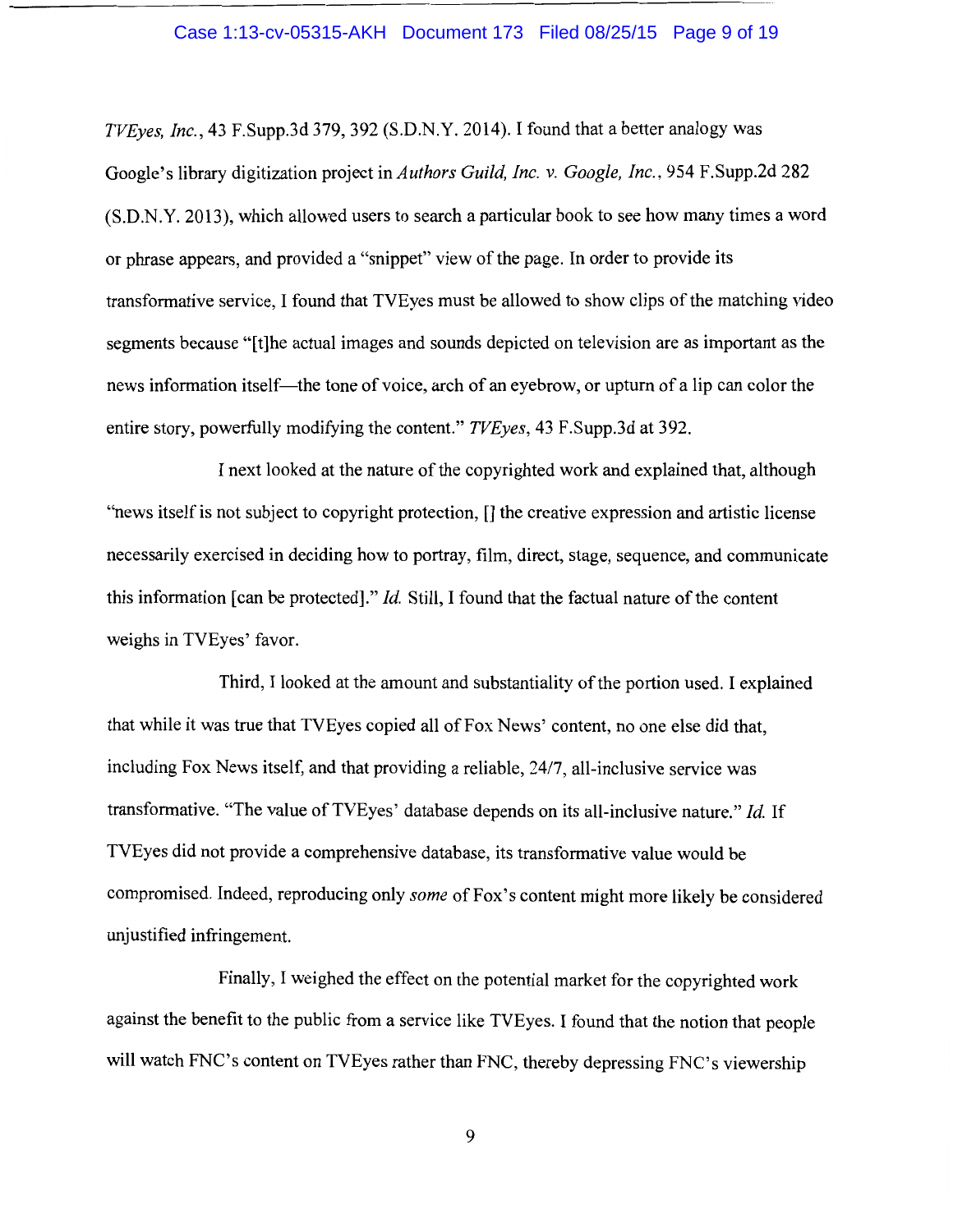#### Case 1:13-cv-05315-AKH Document 173 Filed 08/25/15 Page 9 of 19

*TVEyes, Inc.,* 43 F.Supp.3d 379, 392 (S.D.N.Y. 2014). I found that a better analogy was Google's library digitization project in *Authors Guild, Inc. v. Google, Inc.,* 954 F.Supp.2d 282 (S.D.N.Y. 2013), which allowed users to search a particular book to see how many times a word or phrase appears, and provided a "snippet" view of the page. In order to provide its transformative service, I found that TVEyes must be allowed to show clips of the matching video segments because "[t]he actual images and sounds depicted on television are as important as the news information itself—the tone of voice, arch of an eyebrow, or upturn of a lip can color the entire story, powerfully modifying the content." *TVEyes,* 43 F.Supp.3d at 392.

I next looked at the nature of the copyrighted work and explained that, although "news itself is not subject to copyright protection, [] the creative expression and artistic license necessarily exercised in deciding how to portray, film, direct, stage, sequence, and communicate this information [can be protected]." *Id.* Still, I found that the factual nature of the content weighs in TVEyes' favor.

Third, I looked at the amount and substantiality of the portion used. I explained that while it was true that TVEyes copied all of Fox News' content, no one else did that, including Fox News itself, and that providing a reliable, 2417, all-inclusive service was transformative. "The value of TVEyes' database depends on its all-inclusive nature." *Id.* If TVEyes did not provide a comprehensive database, its transformative value would be compromised. Indeed, reproducing only *some* of Fox's content might more likely be considered unjustified infringement.

Finally, I weighed the effect on the potential market for the copyrighted work against the benefit to the public from a service like TVEyes. I found that the notion that people will watch FNC's content on TVEyes rather than FNC, thereby depressing FNC's viewership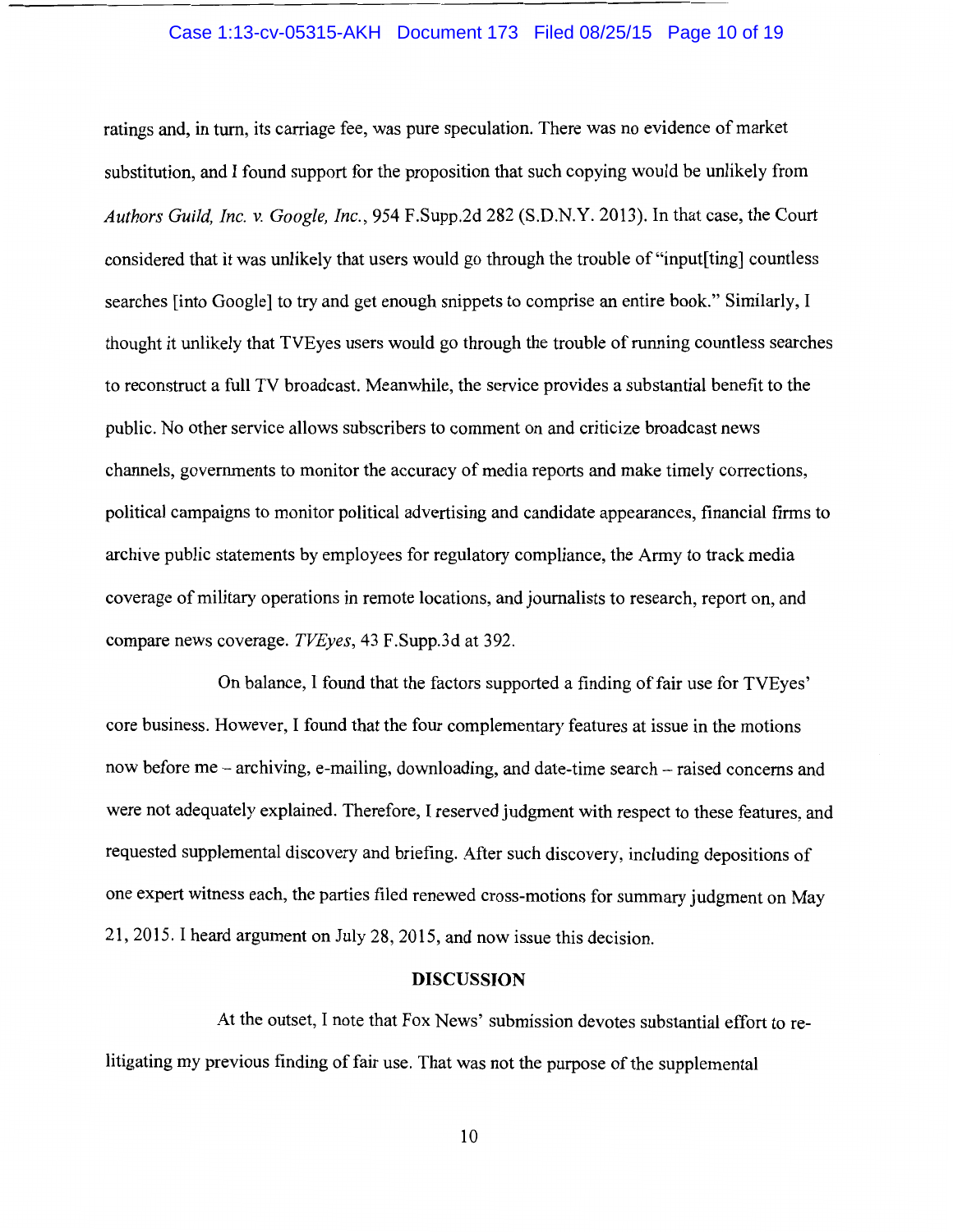#### Case 1:13-cv-05315-AKH Document 173 Filed 08/25/15 Page 10 of 19

ratings and, in tum, its carriage fee, was pure speculation. There was no evidence of market substitution, and I found support for the proposition that such copying would be unlikely from *Authors Guild, Inc.* v. *Google, Inc.,* 954 F.Supp.2d 282 (S.D.N.Y. 2013). In that case, the Court considered that it was unlikely that users would go through the trouble of "input[ting] countless searches [into Google] to try and get enough snippets to comprise an entire book." Similarly, I thought it unlikely that TVEyes users would go through the trouble of running countless searches to reconstruct a full TV broadcast. Meanwhile, the service provides a substantial benefit to the public. No other service allows subscribers to comment on and criticize broadcast news channels, governments to monitor the accuracy of media reports and make timely corrections, political campaigns to monitor political advertising and candidate appearances, financial firms to archive public statements by employees for regulatory compliance, the Army to track media coverage of military operations in remote locations, and journalists to research, report on, and compare news coverage. *TVEyes,* 43 F.Supp.3d at 392.

On balance, I found that the factors supported a finding of fair use for TVEyes' core business. However, I found that the four complementary features at issue in the motions now before me - archiving, e-mailing, downloading, and date-time search- raised concerns and were not adequately explained. Therefore, I reserved judgment with respect to these features, and requested supplemental discovery and briefing. After such discovery, including depositions of one expert witness each, the parties filed renewed cross-motions for summary judgment on May 21, 2015. I heard argument on July 28, 2015, and now issue this decision.

## **DISCUSSION**

At the outset, I note that Fox News' submission devotes substantial effort to relitigating my previous finding of fair use. That was not the purpose of the supplemental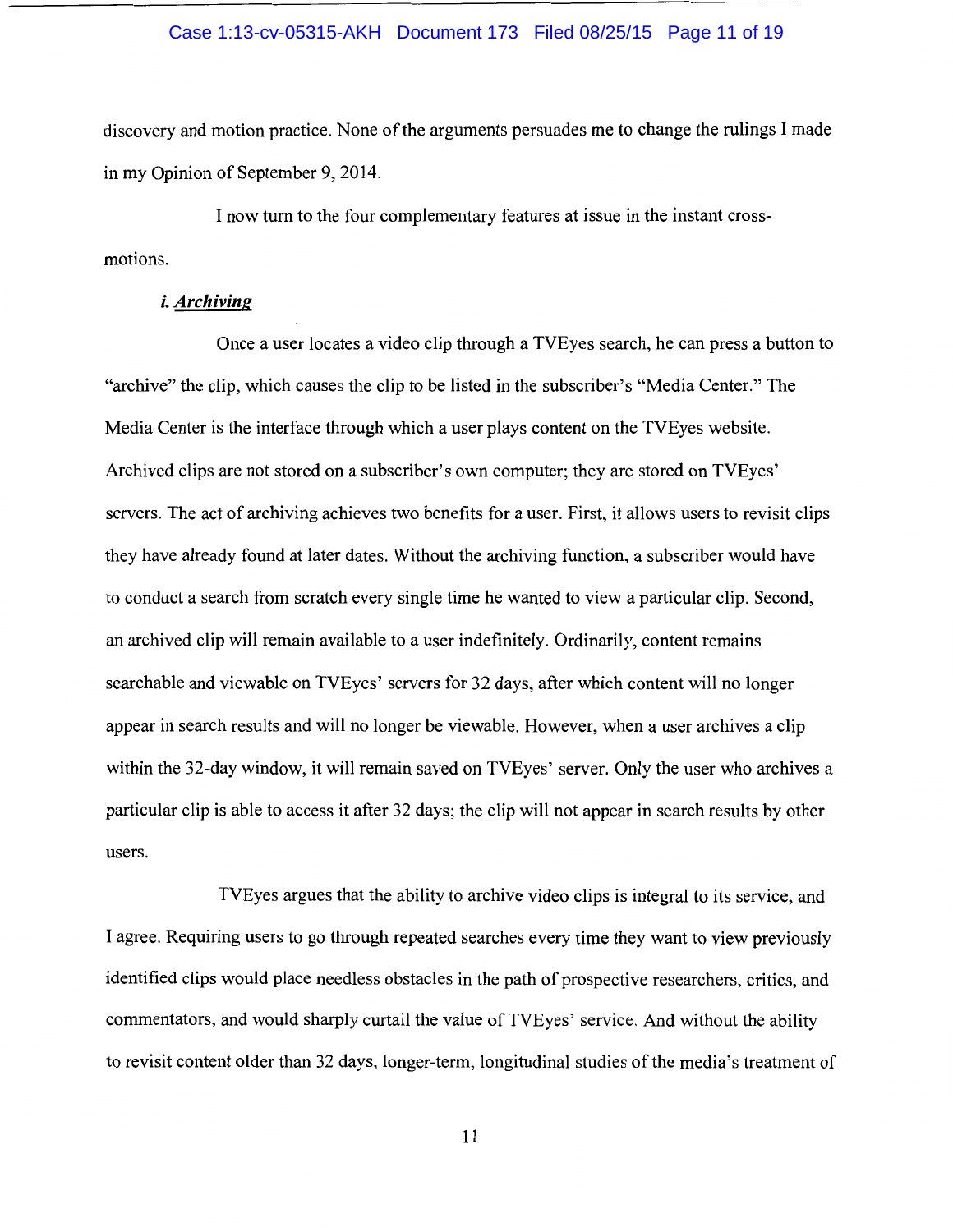## Case 1:13-cv-05315-AKH Document 173 Filed 08/25/15 Page 11 of 19

discovery and motion practice. None of the arguments persuades me to change the rulings I made in my Opinion of September 9, 2014.

I now turn to the four complementary features at issue in the instant crossmotions.

# *i. Archiving*

Once a user locates a video clip through a TVEyes search, he can press a button to "archive" the clip, which causes the clip to be listed in the subscriber's "Media Center." The Media Center is the interface through which a user plays content on the TVEyes website. Archived clips are not stored on a subscriber's own computer; they are stored on TVEyes' servers. The act of archiving achieves two benefits for a user. First, it allows users to revisit clips they have already found at later dates. Without the archiving function, a subscriber would have to conduct a search from scratch every single time he wanted to view a particular clip. Second, an archived clip will remain available to a user indefinitely. Ordinarily, content remains searchable and viewable on TVEyes' servers for 32 days, after which content will no longer appear in search results and will no longer be viewable. However, when a user archives a clip within the 32-day window, it will remain saved on TVEyes' server. Only the user who archives a particular clip is able to access it after 32 days; the clip will not appear in search results by other users.

TVEyes argues that the ability to archive video clips is integral to its service, and I agree. Requiring users to go through repeated searches every time they want to view previously identified clips would place needless obstacles in the path of prospective researchers, critics, and commentators, and would sharply curtail the value of TVEyes' service. And without the ability to revisit content older than 32 days, longer-term, longitudinal studies of the media's treatment of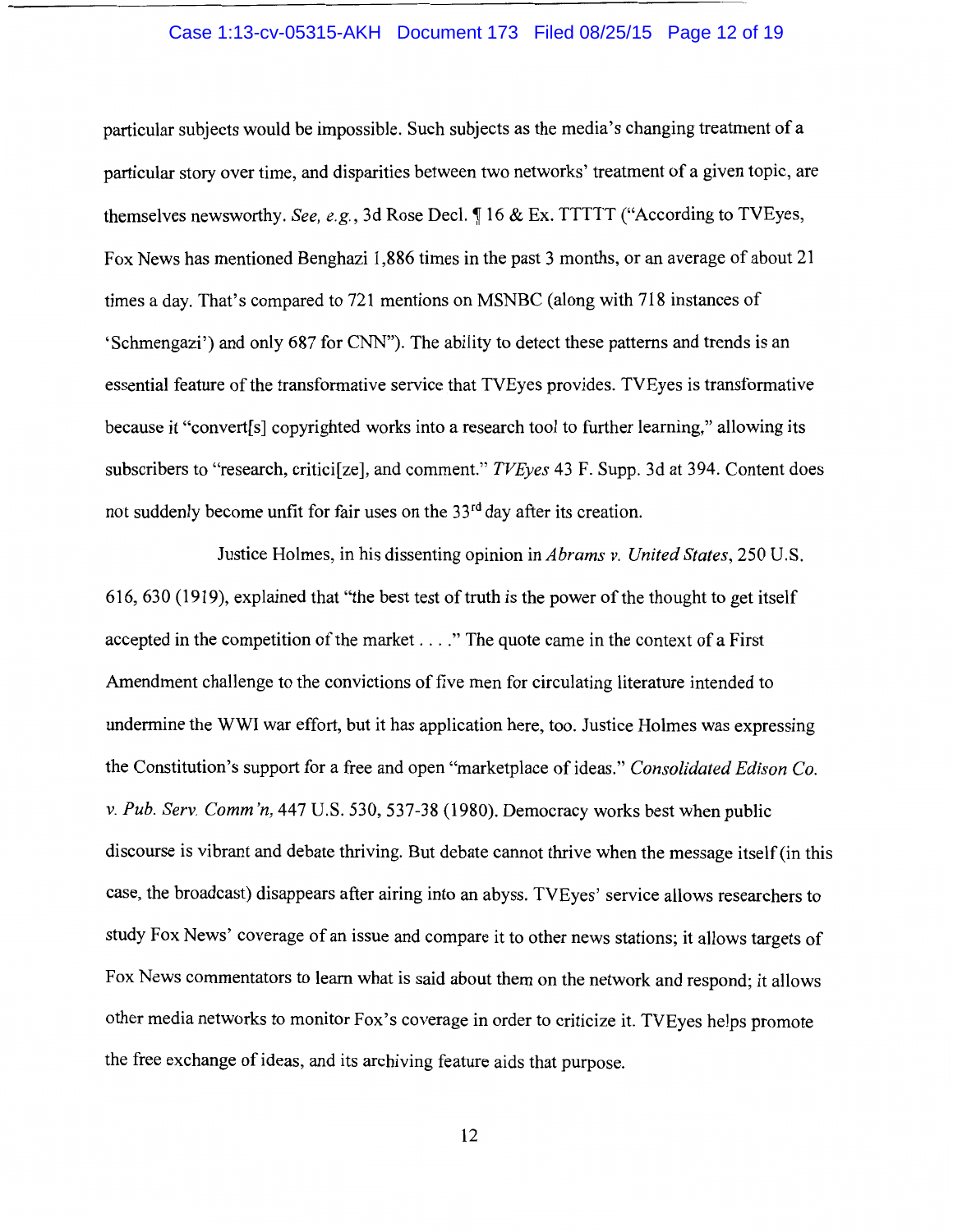## Case 1:13-cv-05315-AKH Document 173 Filed 08/25/15 Page 12 of 19

particular subjects would be impossible. Such subjects as the media's changing treatment of a particular story over time, and disparities between two networks' treatment of a given topic, are themselves newsworthy. *See, e.g.*, 3d Rose Decl.  $\P$  16 & Ex. TTTTT ("According to TVEyes, Fox News has mentioned Benghazi 1,886 times in the past 3 months, or an average of about 21 times a day. That's compared to 721 mentions on MSNBC (along with 718 instances of 'Schmengazi') and only 687 for CNN"). The ability to detect these patterns and trends is an essential feature of the transformative service that TVEyes provides. TVEyes is transformative because it "convert[s] copyrighted works into a research tool to further learning," allowing its subscribers to "research, critici[ze], and comment." *TVEyes* 43 F. Supp. 3d at 394. Content does not suddenly become unfit for fair uses on the 33<sup>rd</sup> day after its creation.

Justice Holmes, in his dissenting opinion in *Abrams v. United States,* 250 U.S. 616, 630 (1919), explained that "the best test of truth is the power of the thought to get itself accepted in the competition of the market .... " The quote came in the context of a First Amendment challenge to the convictions of five men for circulating literature intended to undermine the WWI war effort, but it has application here, too. Justice Holmes was expressing the Constitution's support for a free and open "marketplace of ideas." *Consolidated Edison Co. v. Pub. Serv. Comm 'n,* 447 U.S. 530, 537-38 (1980). Democracy works best when public discourse is vibrant and debate thriving. But debate cannot thrive when the message itself (in this case, the broadcast) disappears after airing into an abyss. TVEyes' service allows researchers to study Fox News' coverage of an issue and compare it to other news stations; it allows targets of Fox News commentators to learn what is said about them on the network and respond; it allows other media networks to monitor Fox's coverage in order to criticize it. TVEyes helps promote the free exchange of ideas, and its archiving feature aids that purpose.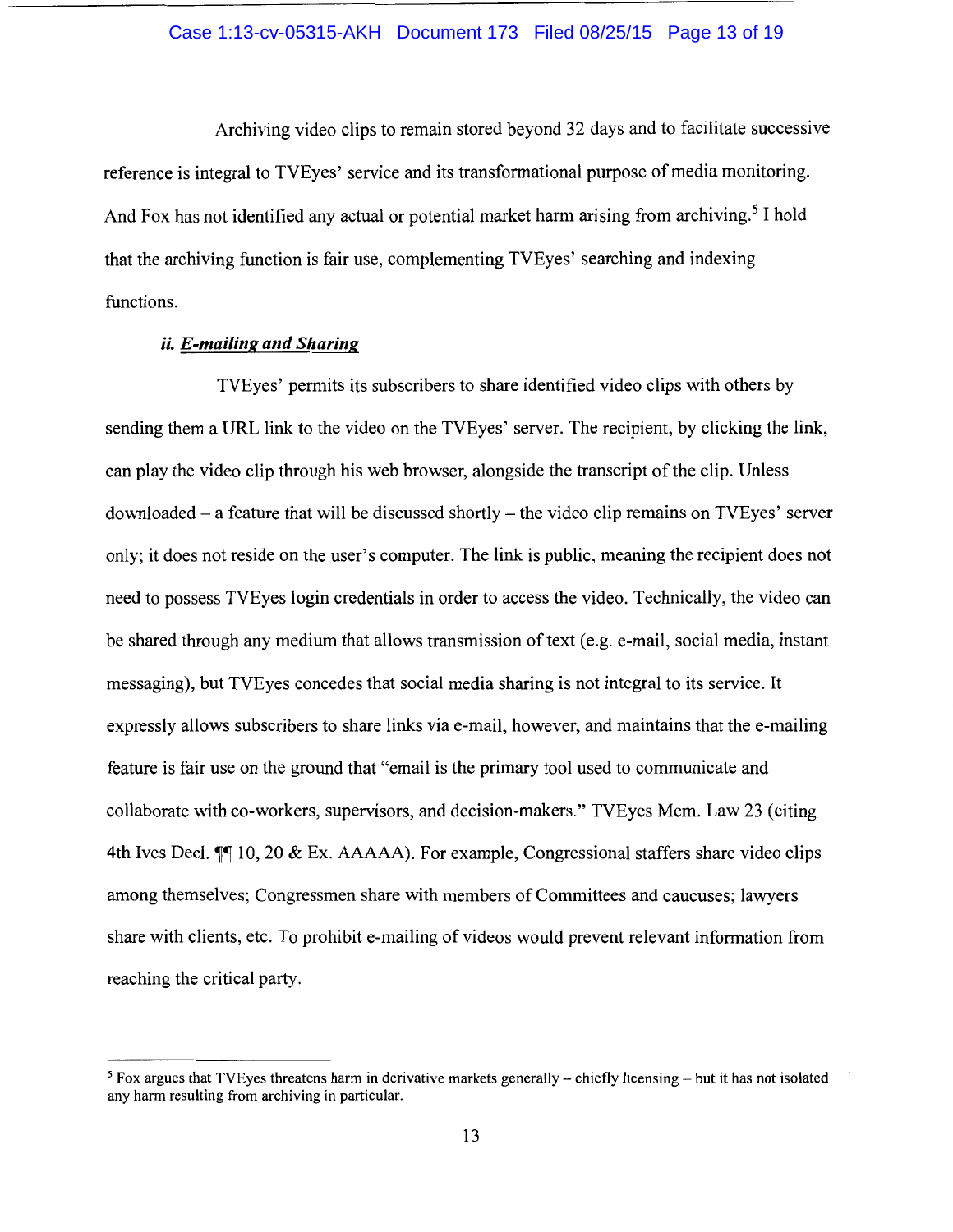## Case 1:13-cv-05315-AKH Document 173 Filed 08/25/15 Page 13 of 19

Archiving video clips to remain stored beyond 32 days and to facilitate successive reference is integral to TVEyes' service and its transformational purpose of media monitoring. And Fox has not identified any actual or potential market harm arising from archiving.<sup>5</sup> I hold that the archiving function is fair use, complementing TVEyes' searching and indexing functions.

# *ii. E-mailing and Sharing*

TVEyes' permits its subscribers to share identified video clips with others by sending them a URL link to the video on the TVEyes' server. The recipient, by clicking the link, can play the video clip through his web browser, alongside the transcript of the clip. Unless downloaded- a feature that will be discussed shortly- the video clip remains on TVEyes' server only; it does not reside on the user's computer. The link is public, meaning the recipient does not need to possess TVEyes login credentials in order to access the video. Technically, the video can be shared through any medium that allows transmission of text (e.g. e-mail, social media, instant messaging), but TVEyes concedes that social media sharing is not integral to its service. It expressly allows subscribers to share links via e-mail, however, and maintains that the e-mailing feature is fair use on the ground that "email is the primary tool used to communicate and collaborate with co-workers, supervisors, and decision-makers." TVEyes Mem. Law 23 (citing 4th Ives Decl.  $\P$  10, 20 & Ex. AAAAA). For example, Congressional staffers share video clips among themselves; Congressmen share with members of Committees and caucuses; lawyers share with clients, etc. To prohibit e-mailing of videos would prevent relevant information from reaching the critical party.

<sup>&</sup>lt;sup>5</sup> Fox argues that TVEyes threatens harm in derivative markets generally – chiefly licensing – but it has not isolated any harm resulting from archiving in particular.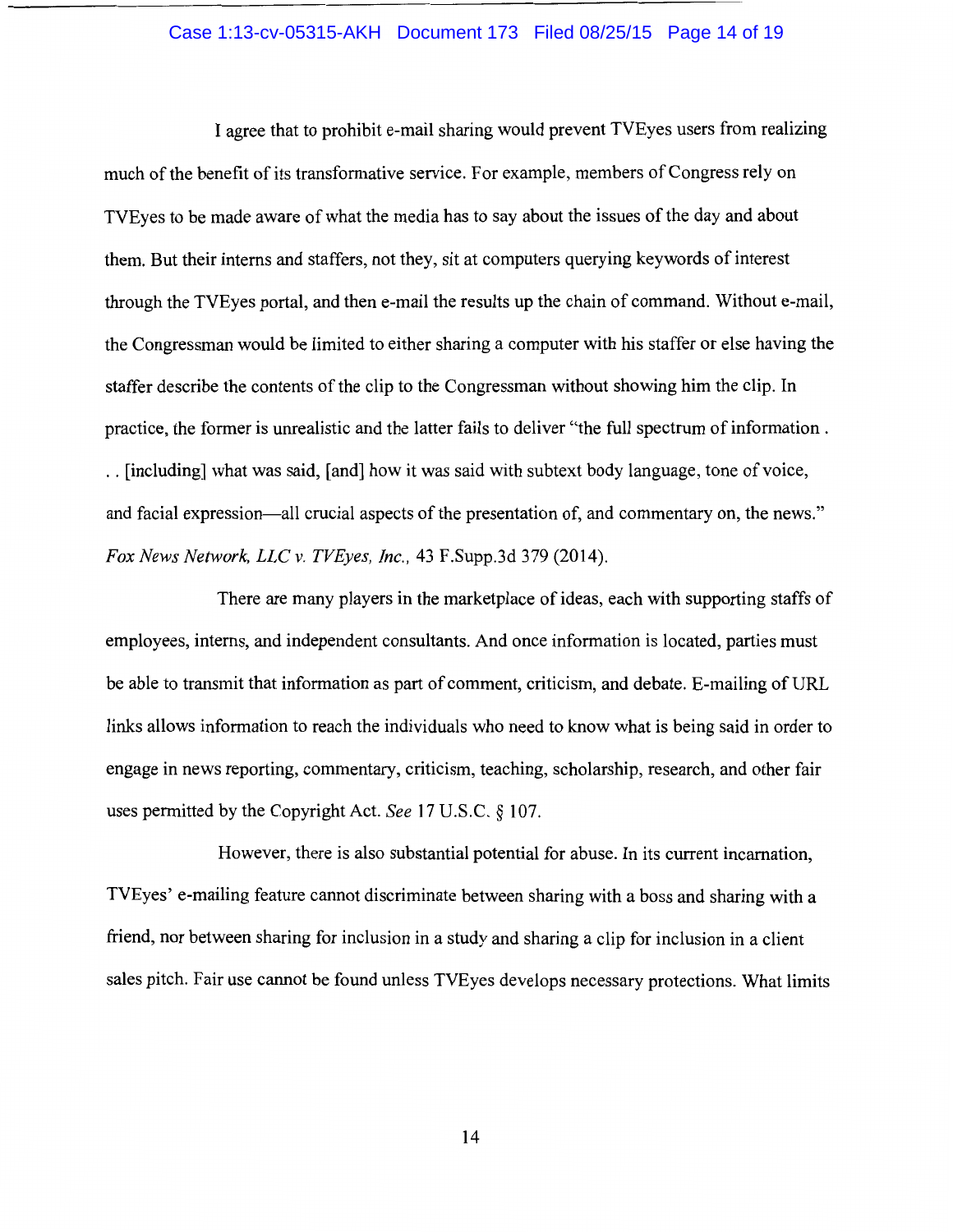#### Case 1:13-cv-05315-AKH Document 173 Filed 08/25/15 Page 14 of 19

I agree that to prohibit e-mail sharing would prevent TVEyes users from realizing much of the benefit of its transformative service. For example, members of Congress rely on TVEyes to be made aware of what the media has to say about the issues of the day and about them. But their interns and staffers, not they, sit at computers querying keywords of interest through the TVEyes portal, and then e-mail the results up the chain of command. Without e-mail, the Congressman would be limited to either sharing a computer with his staffer or else having the staffer describe the contents of the clip to the Congressman without showing him the clip. In practice, the former is unrealistic and the latter fails to deliver "the full spectrum of information . . . [including] what was said, [and] how it was said with subtext body language, tone of voice, and facial expression—all crucial aspects of the presentation of, and commentary on, the news." *Fox News Network, LLC v. TVEyes, Inc.,* 43 F.Supp.3d 379 (2014).

There are many players in the marketplace of ideas, each with supporting staffs of employees, interns, and independent consultants. And once information is located, parties must be able to transmit that information as part of comment, criticism, and debate. E-mailing of URL links allows information to reach the individuals who need to know what is being said in order to engage in news reporting, commentary, criticism, teaching, scholarship, research, and other fair uses permitted by the Copyright Act. *See* 17 U.S.C. § 107.

However, there is also substantial potential for abuse. In its current incarnation, TVEyes' e-mailing feature cannot discriminate between sharing with a boss and sharing with a friend, nor between sharing for inclusion in a study and sharing a clip for inclusion in a client sales pitch. Fair use cannot be found unless TVEyes develops necessary protections. What limits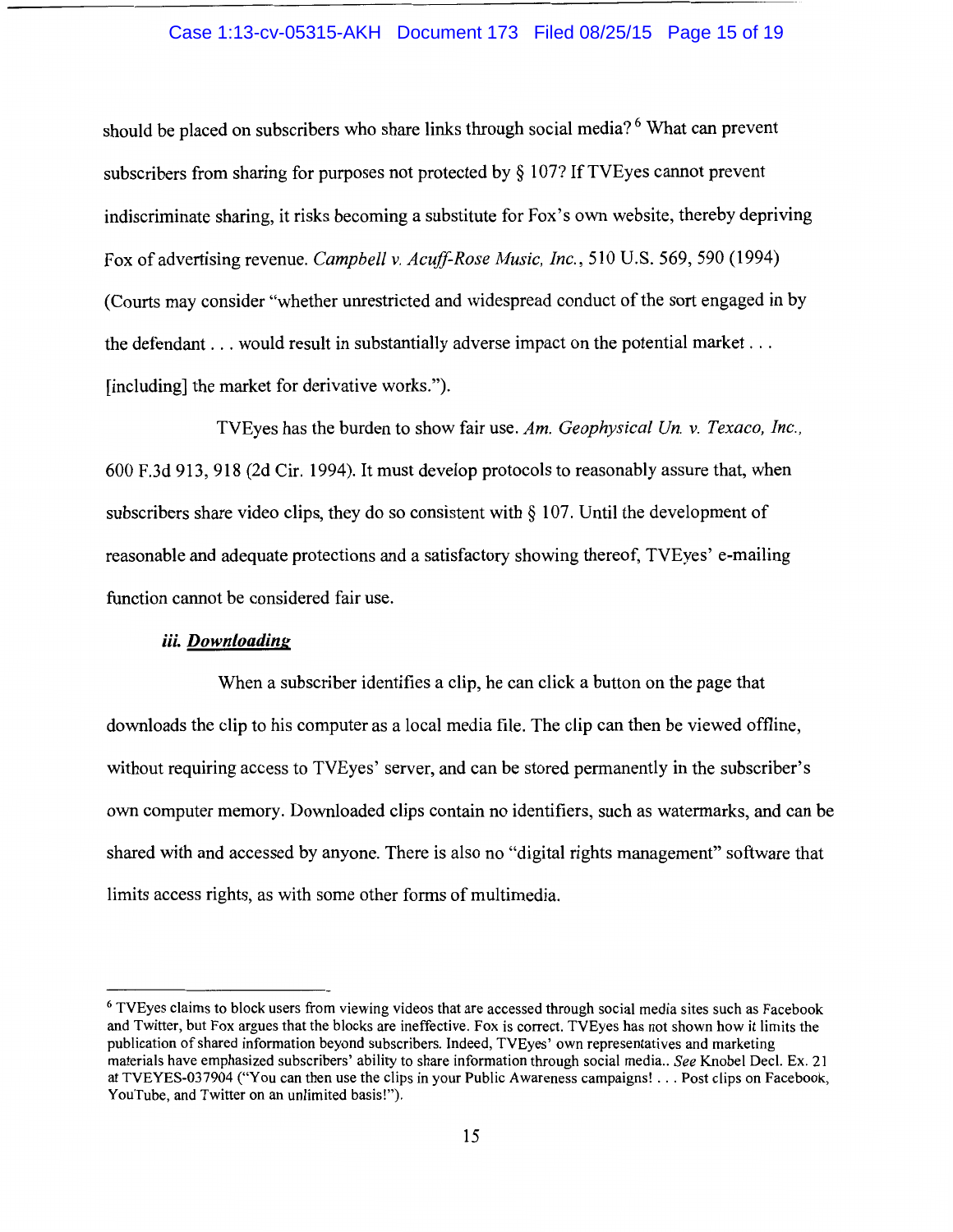# Case 1:13-cv-05315-AKH Document 173 Filed 08/25/15 Page 15 of 19

should be placed on subscribers who share links through social media? 6 What can prevent subscribers from sharing for purposes not protected by § 107? If TVEyes cannot prevent indiscriminate sharing, it risks becoming a substitute for Fox's own website, thereby depriving Fox of advertising revenue. *Campbell v. Acuff-Rose Music, Inc.,* 510 U.S. 569, 590 (1994) (Courts may consider "whether unrestricted and widespread conduct of the sort engaged in by the defendant ... would result in substantially adverse impact on the potential market ... [including] the market for derivative works.").

TVEyes has the burden to show fair use. *Am. Geophysical Un. v. Texaco, Inc.,*  600 F.3d 913, 918 (2d Cir. 1994). It must develop protocols to reasonably assure that, when subscribers share video clips, they do so consistent with  $\S$  107. Until the development of reasonable and adequate protections and a satisfactory showing thereof, TVEyes' e-mailing function cannot be considered fair use.

# *iii. Downloading*

When a subscriber identifies a clip, he can click a button on the page that downloads the clip to his computer as a local media file. The clip can then be viewed offline, without requiring access to TVEyes' server, and can be stored permanently in the subscriber's own computer memory. Downloaded clips contain no identifiers, such as watermarks, and can be shared with and accessed by anyone. There is also no "digital rights management" software that limits access rights, as with some other forms of multimedia.

<sup>6</sup> TVEyes claims to block users from viewing videos that are accessed through social media sites such as Facebook and Twitter, but Fox argues that the blocks are ineffective. Fox is correct. TVEyes has not shown how it limits the publication of shared information beyond subscribers. Indeed, TVEyes' own representatives and marketing materials have emphasized subscribers' ability to share information through social media .. *See* Knobel Deel. Ex. 21 at TVEYES-037904 ("You can then use the clips in your Public Awareness campaigns! ... Post clips on Facebook, YouTube, and Twitter on an unlimited basis!").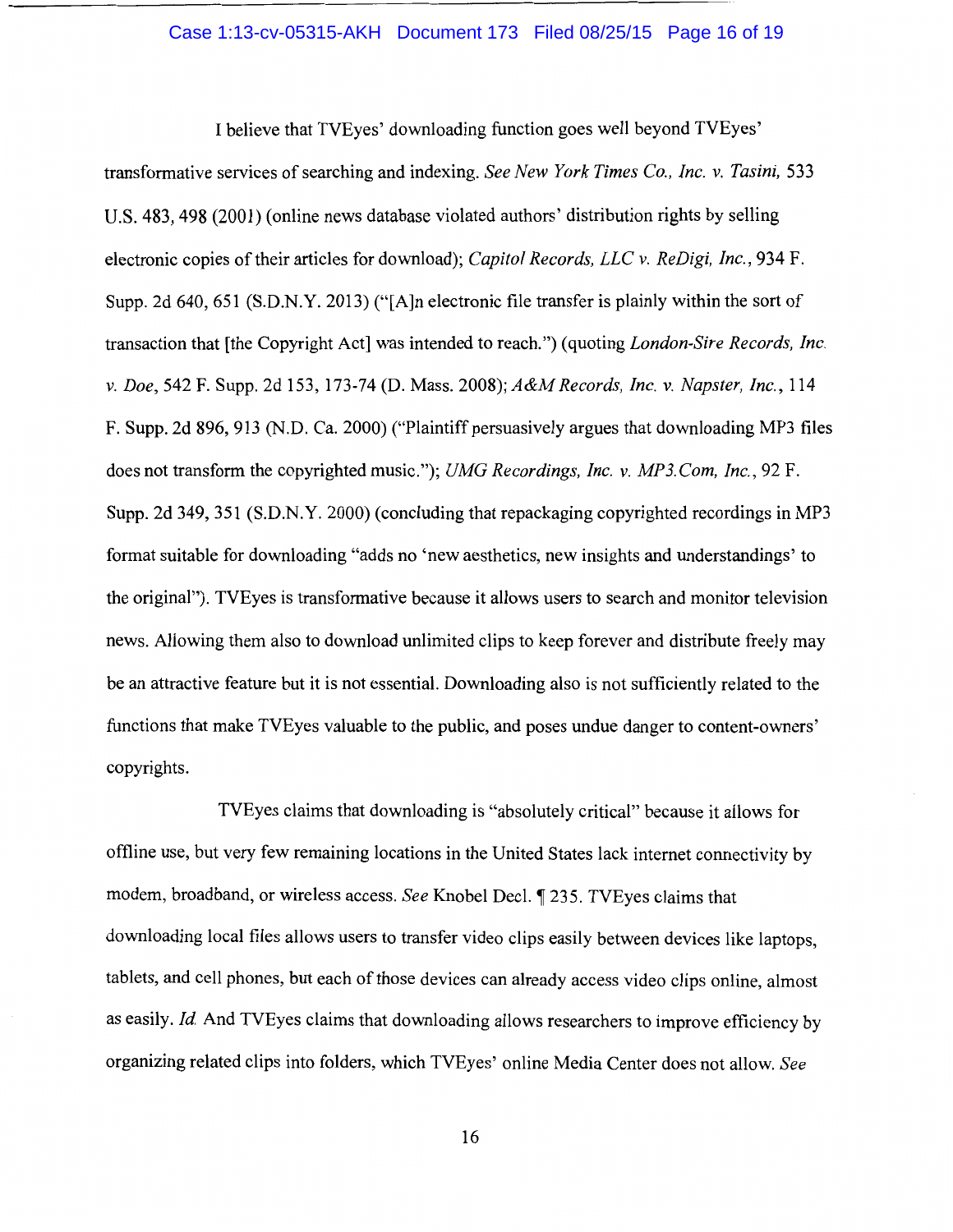#### Case 1:13-cv-05315-AKH Document 173 Filed 08/25/15 Page 16 of 19

I believe that TVEyes' downloading function goes well beyond TVEyes' transformative services of searching and indexing. *See New York Times Co., Inc. v. Tasini,* 533 U.S. 483, 498 (2001) (online news database violated authors' distribution rights by selling electronic copies of their articles for download); *Capitol Records, LLC v. ReDigi, Inc.,* 934 F. Supp. 2d 640, 651 (S.D.N.Y. 2013) ("[A]n electronic file transfer is plainly within the sort of transaction that [the Copyright Act] was intended to reach.") (quoting *London-Sire Records, Inc. v. Doe,* 542 F. Supp. 2d 153, 173-74 (D. Mass. *2008);A&M Records, Inc. v. Napster, Inc.,* 114 F. Supp. 2d 896, 913 (N.D. Ca. 2000) ("Plaintiff persuasively argues that downloading MP3 files does not transform the copyrighted music."); *UMG Recordings, Inc. v. MP3.Com, Inc.,* 92 F. Supp. 2d 349, 351 (S.D.N.Y. 2000) (concluding that repackaging copyrighted recordings in MP3 format suitable for downloading "adds no 'new aesthetics, new insights and understandings' to the original"). TVEyes is transformative because it allows users to search and monitor television news. Allowing them also to download unlimited clips to keep forever and distribute freely may be an attractive feature but it is not essential. Downloading also is not sufficiently related to the functions that make TVEyes valuable to the public, and poses undue danger to content-owners' copyrights.

TVEyes claims that downloading is "absolutely critical" because it allows for offline use, but very few remaining locations in the United States lack internet connectivity by modem, broadband, or wireless access. *See* Knobel Deel.~ 235. TVEyes claims that downloading local files allows users to transfer video clips easily between devices like laptops, tablets, and cell phones, but each of those devices can already access video clips online, almost as easily. *Id.* And TVEyes claims that downloading allows researchers to improve efficiency by organizing related clips into folders, which TVEyes' online Media Center does not allow. *See*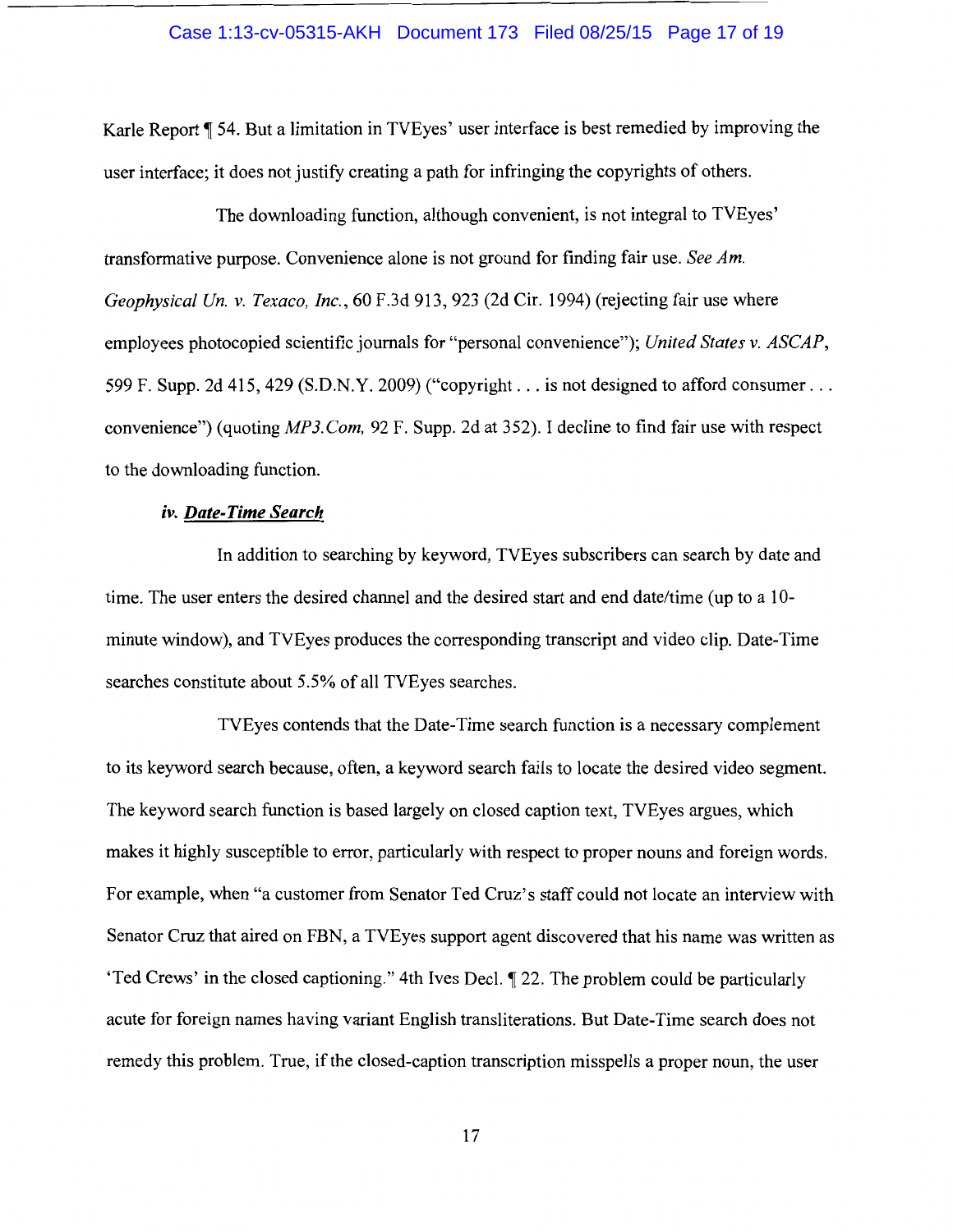#### Case 1:13-cv-05315-AKH Document 173 Filed 08/25/15 Page 17 of 19

Karle Report ¶ 54. But a limitation in TVEyes' user interface is best remedied by improving the user interface; it does not justify creating a path for infringing the copyrights of others.

The downloading function, although convenient, is not integral to TVEyes' transformative purpose. Convenience alone is not ground for finding fair use. *See Am. Geophysical Un. v. Texaco, Inc.,* 60 F.3d 913, 923 (2d Cir. 1994) (rejecting fair use where employees photocopied scientific journals for "personal convenience"); *United States v. ASCAP,*  599 F. Supp. 2d 415, 429 (S.D.N.Y. 2009) ("copyright ... is not designed to afford consumer ... convenience") (quoting *MP3.Com,* 92 F. Supp. 2d at 352). I decline to find fair use with respect to the downloading function.

## *iv. Date-Time Search*

In addition to searching by keyword, TVEyes subscribers can search by date and time. The user enters the desired channel and the desired start and end date/time (up to a 10 minute window), and TVEyes produces the corresponding transcript and video clip. Date-Time searches constitute about 5.5% of all TVEyes searches.

TVEyes contends that the Date-Time search function is a necessary complement to its keyword search because, often, a keyword search fails to locate the desired video segment. The keyword search function is based largely on closed caption text, TVEyes argues, which makes it highly susceptible to error, particularly with respect to proper nouns and foreign words. For example, when "a customer from Senator Ted Cruz's staff could not locate an interview with Senator Cruz that aired on FBN, a TVEyes support agent discovered that his name was written as 'Ted Crews' in the closed captioning." 4th Ives Decl. ¶ 22. The problem could be particularly acute for foreign names having variant English transliterations. But Date-Time search does not remedy this problem. True, if the closed-caption transcription misspells a proper noun, the user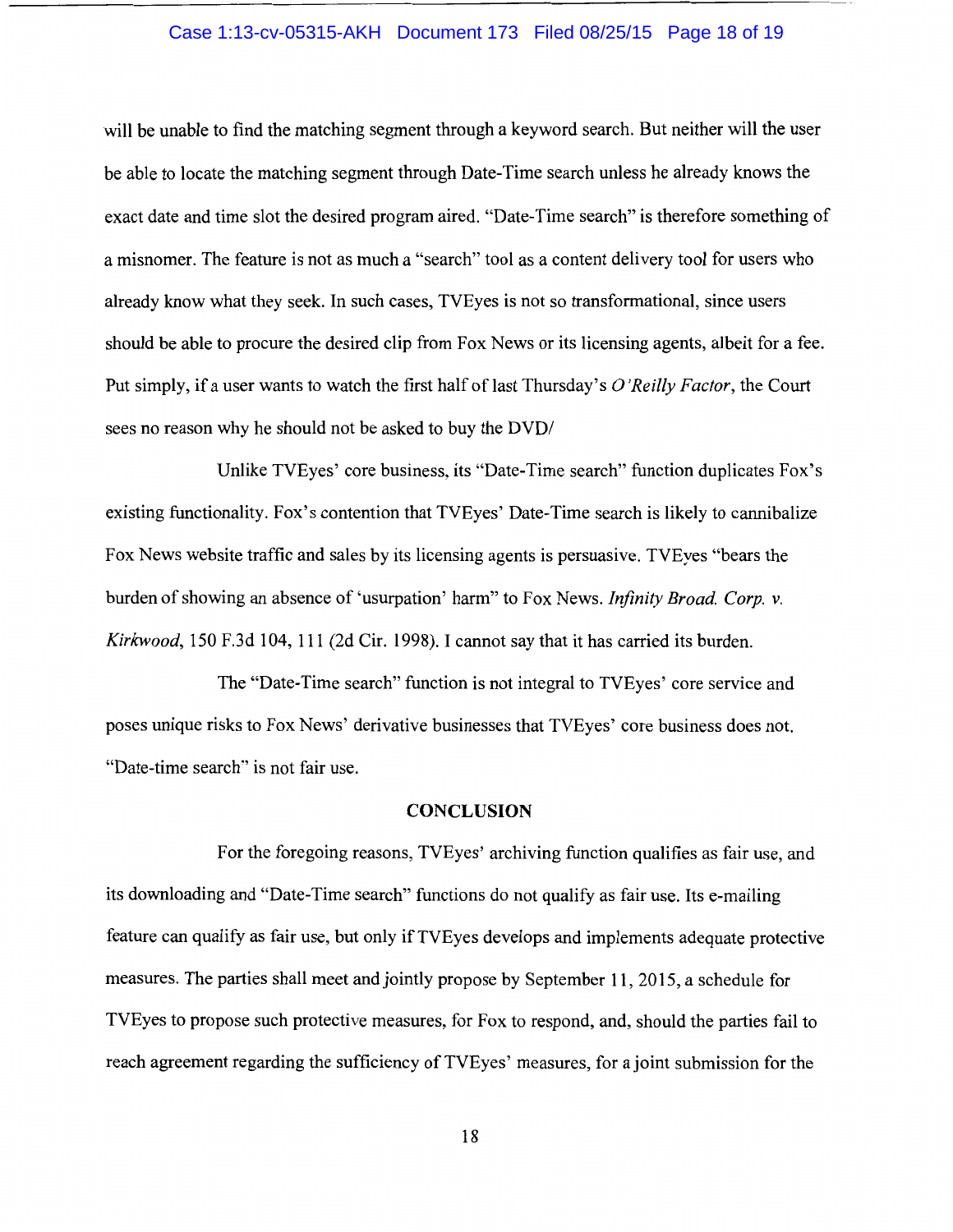## Case 1:13-cv-05315-AKH Document 173 Filed 08/25/15 Page 18 of 19

will be unable to find the matching segment through a keyword search. But neither will the user be able to locate the matching segment through Date-Time search unless he already knows the exact date and time slot the desired program aired. "Date-Time search" is therefore something of a misnomer. The feature is not as much a "search" tool as a content delivery tool for users who already know what they seek. In such cases, TVEyes is not so transformational, since users should be able to procure the desired clip from Fox News or its licensing agents, albeit for a fee. Put simply, if a user wants to watch the first half of last Thursday's *0 'Reilly Factor,* the Court sees no reason why he should not be asked to buy the DVD/

Unlike TVEyes' core business, its "Date-Time search" function duplicates Fox's existing functionality. Fox's contention that TVEyes' Date-Time search is likely to cannibalize Fox News website traffic and sales by its licensing agents is persuasive. TVEyes "bears the burden of showing an absence of 'usurpation' harm" to Fox News. *Infinity Broad. Corp. v. Kirkwood,* 150 F.3d 104, 111 (2d Cir. 1998). I cannot say that it has carried its burden.

The "Date-Time search" function is not integral to TVEyes' core service and poses unique risks to Fox News' derivative businesses that TVEyes' core business does not. "Date-time search" is not fair use.

#### **CONCLUSION**

For the foregoing reasons, TVEyes' archiving function qualifies as fair use, and its downloading and "Date-Time search" functions do not qualify as fair use. Its e-mailing feature can qualify as fair use, but only if TVEyes develops and implements adequate protective measures. The parties shall meet and jointly propose by September **11,** 2015, a schedule for TVEyes to propose such protective measures, for Fox to respond, and, should the parties fail to reach agreement regarding the sufficiency of TVEyes' measures, for a joint submission for the